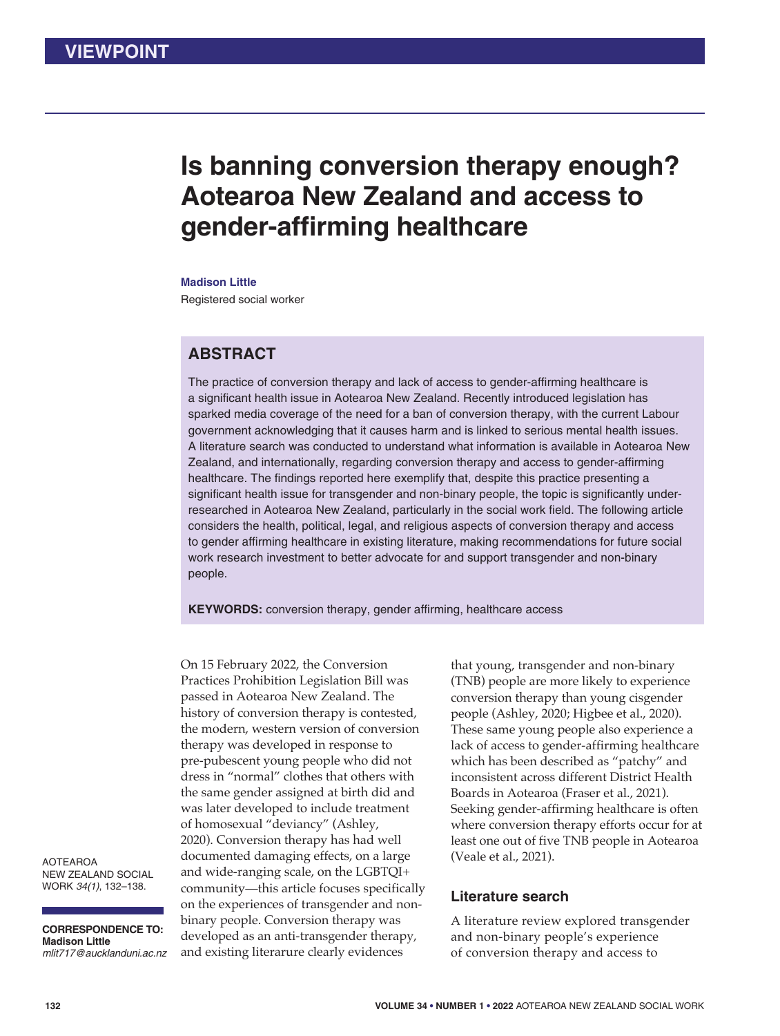# **Is banning conversion therapy enough? Aotearoa New Zealand and access to gender-affirming healthcare**

**Madison Little** 

Registered social worker

# **ABSTRACT**

The practice of conversion therapy and lack of access to gender-affirming healthcare is a significant health issue in Aotearoa New Zealand. Recently introduced legislation has sparked media coverage of the need for a ban of conversion therapy, with the current Labour government acknowledging that it causes harm and is linked to serious mental health issues. A literature search was conducted to understand what information is available in Aotearoa New Zealand, and internationally, regarding conversion therapy and access to gender-affirming healthcare. The findings reported here exemplify that, despite this practice presenting a significant health issue for transgender and non-binary people, the topic is significantly underresearched in Aotearoa New Zealand, particularly in the social work field. The following article considers the health, political, legal, and religious aspects of conversion therapy and access to gender affirming healthcare in existing literature, making recommendations for future social work research investment to better advocate for and support transgender and non-binary people.

**KEYWORDS:** conversion therapy, gender affirming, healthcare access

On 15 February 2022, the Conversion Practices Prohibition Legislation Bill was passed in Aotearoa New Zealand. The history of conversion therapy is contested, the modern, western version of conversion therapy was developed in response to pre-pubescent young people who did not dress in "normal" clothes that others with the same gender assigned at birth did and was later developed to include treatment of homosexual "deviancy" (Ashley, 2020). Conversion therapy has had well documented damaging effects, on a large and wide-ranging scale, on the LGBTQI+ community—this article focuses specifically on the experiences of transgender and nonbinary people. Conversion therapy was developed as an anti-transgender therapy, and existing literarure clearly evidences

that young, transgender and non-binary (TNB) people are more likely to experience conversion therapy than young cisgender people (Ashley, 2020; Higbee et al., 2020). These same young people also experience a lack of access to gender-affirming healthcare which has been described as "patchy" and inconsistent across different District Health Boards in Aotearoa (Fraser et al., 2021). Seeking gender-affirming healthcare is often where conversion therapy efforts occur for at least one out of five TNB people in Aotearoa (Veale et al., 2021).

#### **Literature search**

A literature review explored transgender and non-binary people's experience of conversion therapy and access to

AOTEAROA NEW ZEALAND SOCIAL WORK *34(1)*, 132–138.

**CORRESPONDENCE TO: Madison Little** *mlit717@aucklanduni.ac.nz*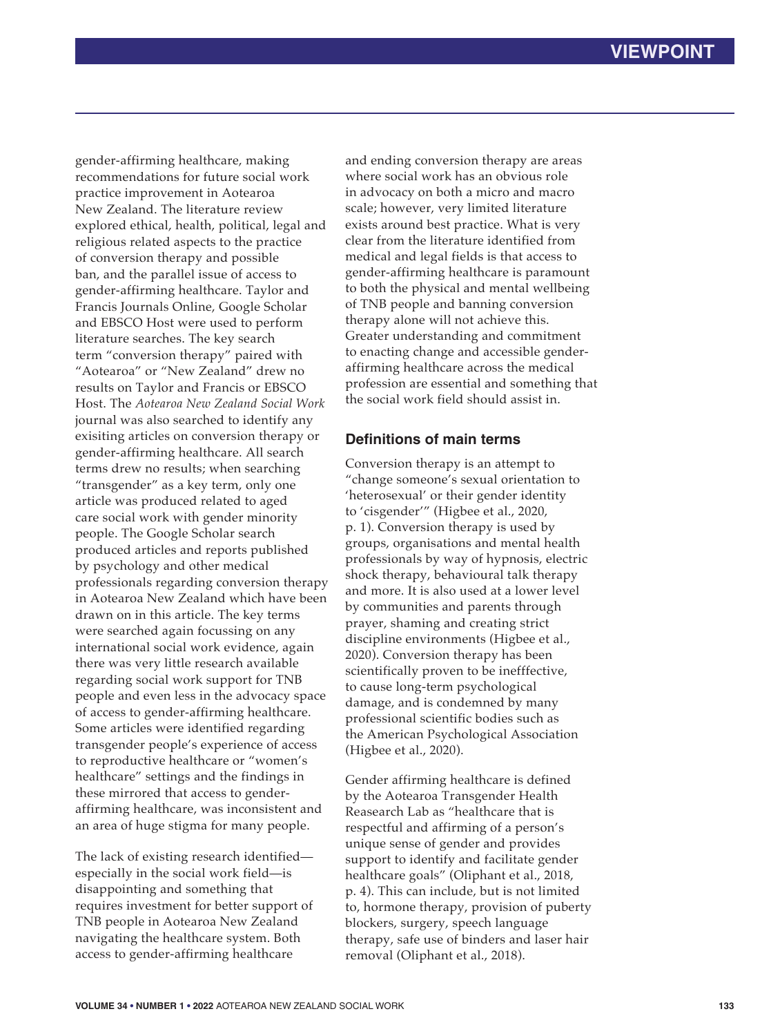gender-affirming healthcare, making recommendations for future social work practice improvement in Aotearoa New Zealand. The literature review explored ethical, health, political, legal and religious related aspects to the practice of conversion therapy and possible ban, and the parallel issue of access to gender-affirming healthcare. Taylor and Francis Journals Online, Google Scholar and EBSCO Host were used to perform literature searches. The key search term "conversion therapy" paired with "Aotearoa" or "New Zealand" drew no results on Taylor and Francis or EBSCO Host. The *Aotearoa New Zealand Social Work* journal was also searched to identify any exisiting articles on conversion therapy or gender-affirming healthcare. All search terms drew no results; when searching "transgender" as a key term, only one article was produced related to aged care social work with gender minority people. The Google Scholar search produced articles and reports published by psychology and other medical professionals regarding conversion therapy in Aotearoa New Zealand which have been drawn on in this article. The key terms were searched again focussing on any international social work evidence, again there was very little research available regarding social work support for TNB people and even less in the advocacy space of access to gender-affirming healthcare. Some articles were identified regarding transgender people's experience of access to reproductive healthcare or "women's healthcare" settings and the findings in these mirrored that access to genderaffirming healthcare, was inconsistent and an area of huge stigma for many people.

The lack of existing research identified especially in the social work field—is disappointing and something that requires investment for better support of TNB people in Aotearoa New Zealand navigating the healthcare system. Both access to gender-affirming healthcare

and ending conversion therapy are areas where social work has an obvious role in advocacy on both a micro and macro scale; however, very limited literature exists around best practice. What is very clear from the literature identified from medical and legal fields is that access to gender-affirming healthcare is paramount to both the physical and mental wellbeing of TNB people and banning conversion therapy alone will not achieve this. Greater understanding and commitment to enacting change and accessible genderaffirming healthcare across the medical profession are essential and something that the social work field should assist in.

## **Definitions of main terms**

Conversion therapy is an attempt to "change someone's sexual orientation to 'heterosexual' or their gender identity to 'cisgender'" (Higbee et al., 2020, p. 1). Conversion therapy is used by groups, organisations and mental health professionals by way of hypnosis, electric shock therapy, behavioural talk therapy and more. It is also used at a lower level by communities and parents through prayer, shaming and creating strict discipline environments (Higbee et al., 2020). Conversion therapy has been scientifically proven to be inefffective, to cause long-term psychological damage, and is condemned by many professional scientific bodies such as the American Psychological Association (Higbee et al., 2020).

Gender affirming healthcare is defined by the Aotearoa Transgender Health Reasearch Lab as "healthcare that is respectful and affirming of a person's unique sense of gender and provides support to identify and facilitate gender healthcare goals" (Oliphant et al., 2018, p. 4). This can include, but is not limited to, hormone therapy, provision of puberty blockers, surgery, speech language therapy, safe use of binders and laser hair removal (Oliphant et al., 2018).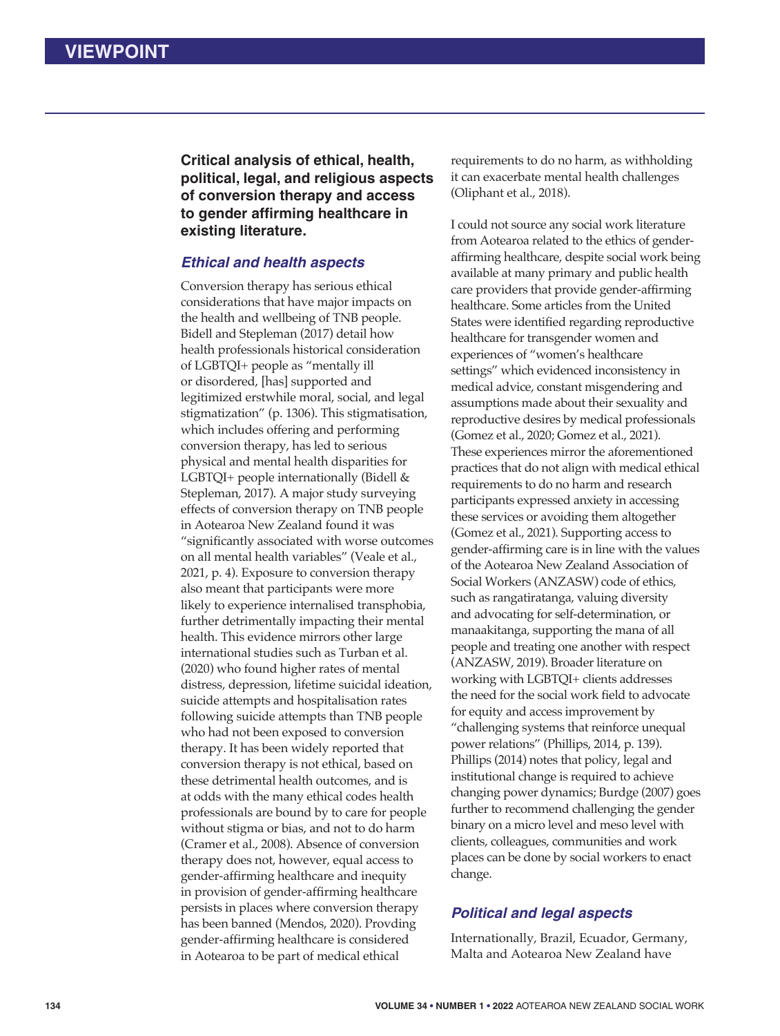**Critical analysis of ethical, health, political, legal, and religious aspects of conversion therapy and access**  to gender affirming healthcare in **existing literature.**

#### *Ethical and health aspects*

Conversion therapy has serious ethical considerations that have major impacts on the health and wellbeing of TNB people. Bidell and Stepleman (2017) detail how health professionals historical consideration of LGBTQI+ people as "mentally ill or disordered, [has] supported and legitimized erstwhile moral, social, and legal stigmatization" (p. 1306). This stigmatisation, which includes offering and performing conversion therapy, has led to serious physical and mental health disparities for LGBTQI+ people internationally (Bidell & Stepleman, 2017). A major study surveying effects of conversion therapy on TNB people in Aotearoa New Zealand found it was "significantly associated with worse outcomes on all mental health variables" (Veale et al., 2021, p. 4). Exposure to conversion therapy also meant that participants were more likely to experience internalised transphobia, further detrimentally impacting their mental health. This evidence mirrors other large international studies such as Turban et al. (2020) who found higher rates of mental distress, depression, lifetime suicidal ideation, suicide attempts and hospitalisation rates following suicide attempts than TNB people who had not been exposed to conversion therapy. It has been widely reported that conversion therapy is not ethical, based on these detrimental health outcomes, and is at odds with the many ethical codes health professionals are bound by to care for people without stigma or bias, and not to do harm (Cramer et al., 2008). Absence of conversion therapy does not, however, equal access to gender-affirming healthcare and inequity in provision of gender-affirming healthcare persists in places where conversion therapy has been banned (Mendos, 2020). Provding gender-affirming healthcare is considered in Aotearoa to be part of medical ethical

requirements to do no harm, as withholding it can exacerbate mental health challenges (Oliphant et al., 2018).

I could not source any social work literature from Aotearoa related to the ethics of genderaffirming healthcare, despite social work being available at many primary and public health care providers that provide gender-affirming healthcare. Some articles from the United States were identified regarding reproductive healthcare for transgender women and experiences of "women's healthcare settings" which evidenced inconsistency in medical advice, constant misgendering and assumptions made about their sexuality and reproductive desires by medical professionals (Gomez et al., 2020; Gomez et al., 2021). These experiences mirror the aforementioned practices that do not align with medical ethical requirements to do no harm and research participants expressed anxiety in accessing these services or avoiding them altogether (Gomez et al., 2021). Supporting access to gender-affirming care is in line with the values of the Aotearoa New Zealand Association of Social Workers (ANZASW) code of ethics, such as rangatiratanga, valuing diversity and advocating for self-determination, or manaakitanga, supporting the mana of all people and treating one another with respect (ANZASW, 2019). Broader literature on working with LGBTQI+ clients addresses the need for the social work field to advocate for equity and access improvement by "challenging systems that reinforce unequal power relations" (Phillips, 2014, p. 139). Phillips (2014) notes that policy, legal and institutional change is required to achieve changing power dynamics; Burdge (2007) goes further to recommend challenging the gender binary on a micro level and meso level with clients, colleagues, communities and work places can be done by social workers to enact change.

# *Political and legal aspects*

Internationally, Brazil, Ecuador, Germany, Malta and Aotearoa New Zealand have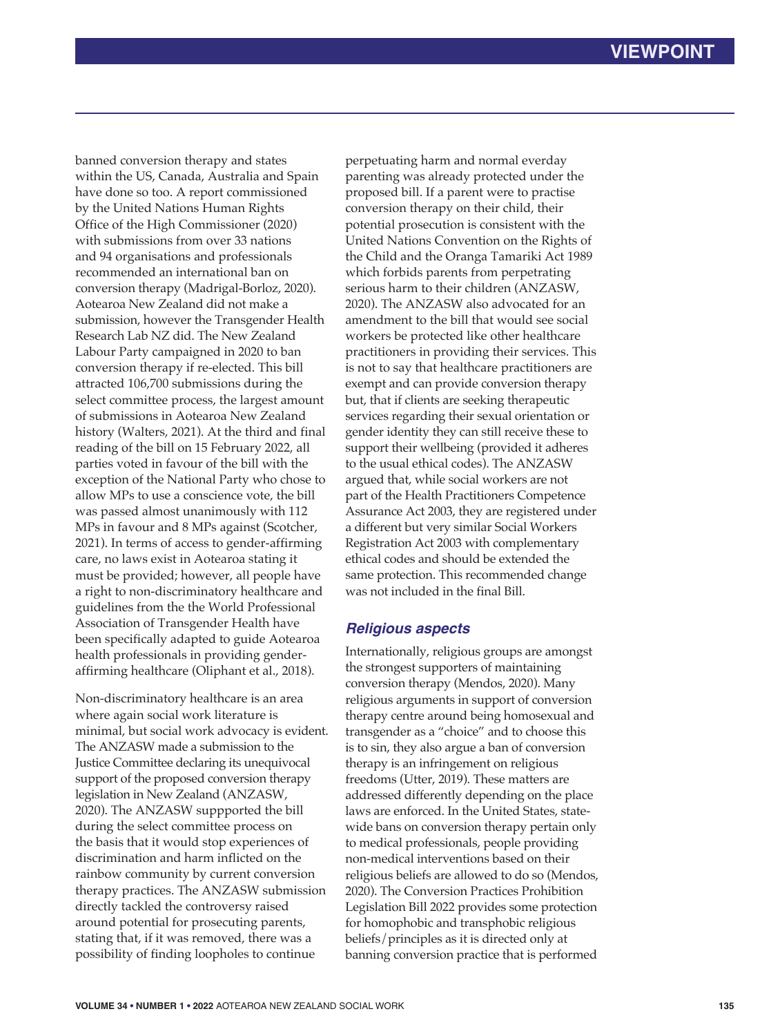banned conversion therapy and states within the US, Canada, Australia and Spain have done so too. A report commissioned by the United Nations Human Rights Office of the High Commissioner (2020) with submissions from over 33 nations and 94 organisations and professionals recommended an international ban on conversion therapy (Madrigal-Borloz, 2020). Aotearoa New Zealand did not make a submission, however the Transgender Health Research Lab NZ did. The New Zealand Labour Party campaigned in 2020 to ban conversion therapy if re-elected. This bill attracted 106,700 submissions during the select committee process, the largest amount of submissions in Aotearoa New Zealand history (Walters, 2021). At the third and final reading of the bill on 15 February 2022, all parties voted in favour of the bill with the exception of the National Party who chose to allow MPs to use a conscience vote, the bill was passed almost unanimously with 112 MPs in favour and 8 MPs against (Scotcher, 2021). In terms of access to gender-affirming care, no laws exist in Aotearoa stating it must be provided; however, all people have a right to non-discriminatory healthcare and guidelines from the the World Professional Association of Transgender Health have been specifically adapted to guide Aotearoa health professionals in providing genderaffirming healthcare (Oliphant et al., 2018).

Non-discriminatory healthcare is an area where again social work literature is minimal, but social work advocacy is evident. The ANZASW made a submission to the Justice Committee declaring its unequivocal support of the proposed conversion therapy legislation in New Zealand (ANZASW, 2020). The ANZASW suppported the bill during the select committee process on the basis that it would stop experiences of discrimination and harm inflicted on the rainbow community by current conversion therapy practices. The ANZASW submission directly tackled the controversy raised around potential for prosecuting parents, stating that, if it was removed, there was a possibility of finding loopholes to continue

perpetuating harm and normal everday parenting was already protected under the proposed bill. If a parent were to practise conversion therapy on their child, their potential prosecution is consistent with the United Nations Convention on the Rights of the Child and the Oranga Tamariki Act 1989 which forbids parents from perpetrating serious harm to their children (ANZASW, 2020). The ANZASW also advocated for an amendment to the bill that would see social workers be protected like other healthcare practitioners in providing their services. This is not to say that healthcare practitioners are exempt and can provide conversion therapy but, that if clients are seeking therapeutic services regarding their sexual orientation or gender identity they can still receive these to support their wellbeing (provided it adheres to the usual ethical codes). The ANZASW argued that, while social workers are not part of the Health Practitioners Competence Assurance Act 2003, they are registered under a different but very similar Social Workers Registration Act 2003 with complementary ethical codes and should be extended the same protection. This recommended change was not included in the final Bill.

#### *Religious aspects*

Internationally, religious groups are amongst the strongest supporters of maintaining conversion therapy (Mendos, 2020). Many religious arguments in support of conversion therapy centre around being homosexual and transgender as a "choice" and to choose this is to sin, they also argue a ban of conversion therapy is an infringement on religious freedoms (Utter, 2019). These matters are addressed differently depending on the place laws are enforced. In the United States, statewide bans on conversion therapy pertain only to medical professionals, people providing non-medical interventions based on their religious beliefs are allowed to do so (Mendos, 2020). The Conversion Practices Prohibition Legislation Bill 2022 provides some protection for homophobic and transphobic religious beliefs/principles as it is directed only at banning conversion practice that is performed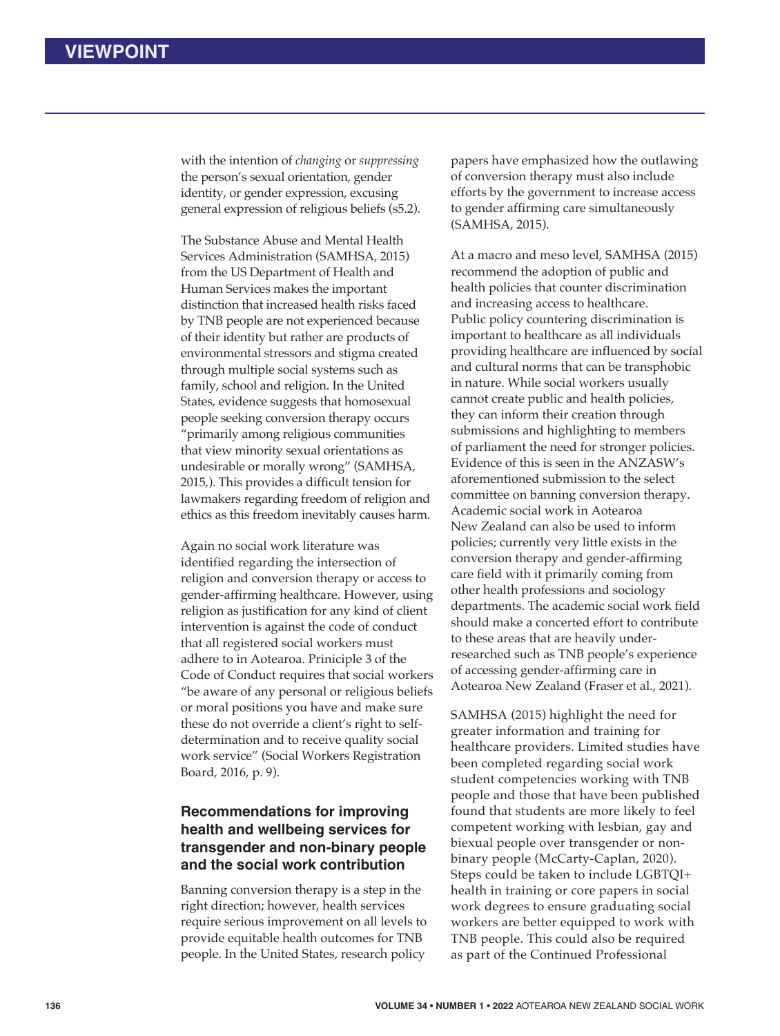with the intention of *changing* or *suppressing* the person's sexual orientation, gender identity, or gender expression, excusing general expression of religious beliefs (s5.2).

The Substance Abuse and Mental Health Services Administration (SAMHSA, 2015) from the US Department of Health and Human Services makes the important distinction that increased health risks faced by TNB people are not experienced because of their identity but rather are products of environmental stressors and stigma created through multiple social systems such as family, school and religion. In the United States, evidence suggests that homosexual people seeking conversion therapy occurs "primarily among religious communities that view minority sexual orientations as undesirable or morally wrong" (SAMHSA, 2015,). This provides a difficult tension for lawmakers regarding freedom of religion and ethics as this freedom inevitably causes harm.

Again no social work literature was identified regarding the intersection of religion and conversion therapy or access to gender-affirming healthcare. However, using religion as justification for any kind of client intervention is against the code of conduct that all registered social workers must adhere to in Aotearoa. Priniciple 3 of the Code of Conduct requires that social workers "be aware of any personal or religious beliefs or moral positions you have and make sure these do not override a client's right to selfdetermination and to receive quality social work service" (Social Workers Registration Board, 2016, p. 9).

# **Recommendations for improving health and wellbeing services for transgender and non-binary people and the social work contribution**

Banning conversion therapy is a step in the right direction; however, health services require serious improvement on all levels to provide equitable health outcomes for TNB people. In the United States, research policy

papers have emphasized how the outlawing of conversion therapy must also include efforts by the government to increase access to gender affirming care simultaneously (SAMHSA, 2015).

At a macro and meso level, SAMHSA (2015) recommend the adoption of public and health policies that counter discrimination and increasing access to healthcare. Public policy countering discrimination is important to healthcare as all individuals providing healthcare are influenced by social and cultural norms that can be transphobic in nature. While social workers usually cannot create public and health policies, they can inform their creation through submissions and highlighting to members of parliament the need for stronger policies. Evidence of this is seen in the ANZASW's aforementioned submission to the select committee on banning conversion therapy. Academic social work in Aotearoa New Zealand can also be used to inform policies; currently very little exists in the conversion therapy and gender-affirming care field with it primarily coming from other health professions and sociology departments. The academic social work field should make a concerted effort to contribute to these areas that are heavily underresearched such as TNB people's experience of accessing gender-affirming care in Aotearoa New Zealand (Fraser et al., 2021).

SAMHSA (2015) highlight the need for greater information and training for healthcare providers. Limited studies have been completed regarding social work student competencies working with TNB people and those that have been published found that students are more likely to feel competent working with lesbian, gay and biexual people over transgender or nonbinary people (McCarty-Caplan, 2020). Steps could be taken to include LGBTQI+ health in training or core papers in social work degrees to ensure graduating social workers are better equipped to work with TNB people. This could also be required as part of the Continued Professional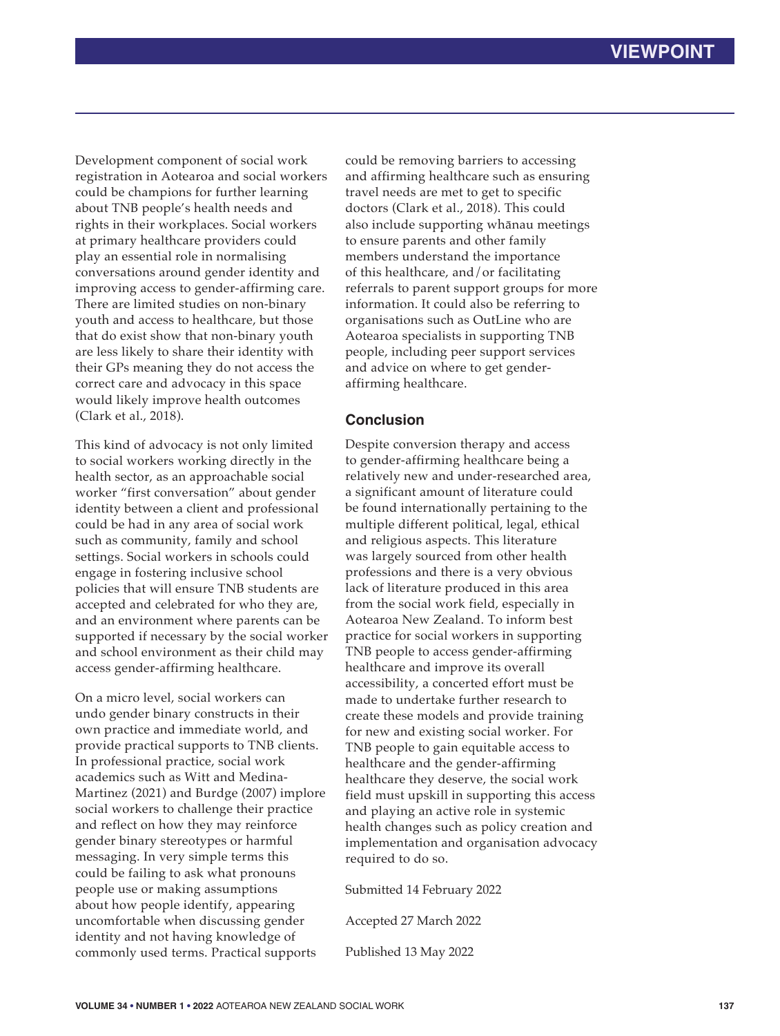Development component of social work registration in Aotearoa and social workers could be champions for further learning about TNB people's health needs and rights in their workplaces. Social workers at primary healthcare providers could play an essential role in normalising conversations around gender identity and improving access to gender-affirming care. There are limited studies on non-binary youth and access to healthcare, but those that do exist show that non-binary youth are less likely to share their identity with their GPs meaning they do not access the correct care and advocacy in this space would likely improve health outcomes (Clark et al., 2018).

This kind of advocacy is not only limited to social workers working directly in the health sector, as an approachable social worker "first conversation" about gender identity between a client and professional could be had in any area of social work such as community, family and school settings. Social workers in schools could engage in fostering inclusive school policies that will ensure TNB students are accepted and celebrated for who they are, and an environment where parents can be supported if necessary by the social worker and school environment as their child may access gender-affirming healthcare.

On a micro level, social workers can undo gender binary constructs in their own practice and immediate world, and provide practical supports to TNB clients. In professional practice, social work academics such as Witt and Medina-Martinez (2021) and Burdge (2007) implore social workers to challenge their practice and reflect on how they may reinforce gender binary stereotypes or harmful messaging. In very simple terms this could be failing to ask what pronouns people use or making assumptions about how people identify, appearing uncomfortable when discussing gender identity and not having knowledge of commonly used terms. Practical supports

could be removing barriers to accessing and affirming healthcare such as ensuring travel needs are met to get to specific doctors (Clark et al., 2018). This could also include supporting whānau meetings to ensure parents and other family members understand the importance of this healthcare, and/or facilitating referrals to parent support groups for more information. It could also be referring to organisations such as OutLine who are Aotearoa specialists in supporting TNB people, including peer support services and advice on where to get genderaffirming healthcare.

### **Conclusion**

Despite conversion therapy and access to gender-affirming healthcare being a relatively new and under-researched area, a significant amount of literature could be found internationally pertaining to the multiple different political, legal, ethical and religious aspects. This literature was largely sourced from other health professions and there is a very obvious lack of literature produced in this area from the social work field, especially in Aotearoa New Zealand. To inform best practice for social workers in supporting TNB people to access gender-affirming healthcare and improve its overall accessibility, a concerted effort must be made to undertake further research to create these models and provide training for new and existing social worker. For TNB people to gain equitable access to healthcare and the gender-affirming healthcare they deserve, the social work field must upskill in supporting this access and playing an active role in systemic health changes such as policy creation and implementation and organisation advocacy required to do so.

Submitted 14 February 2022

Accepted 27 March 2022

Published 13 May 2022